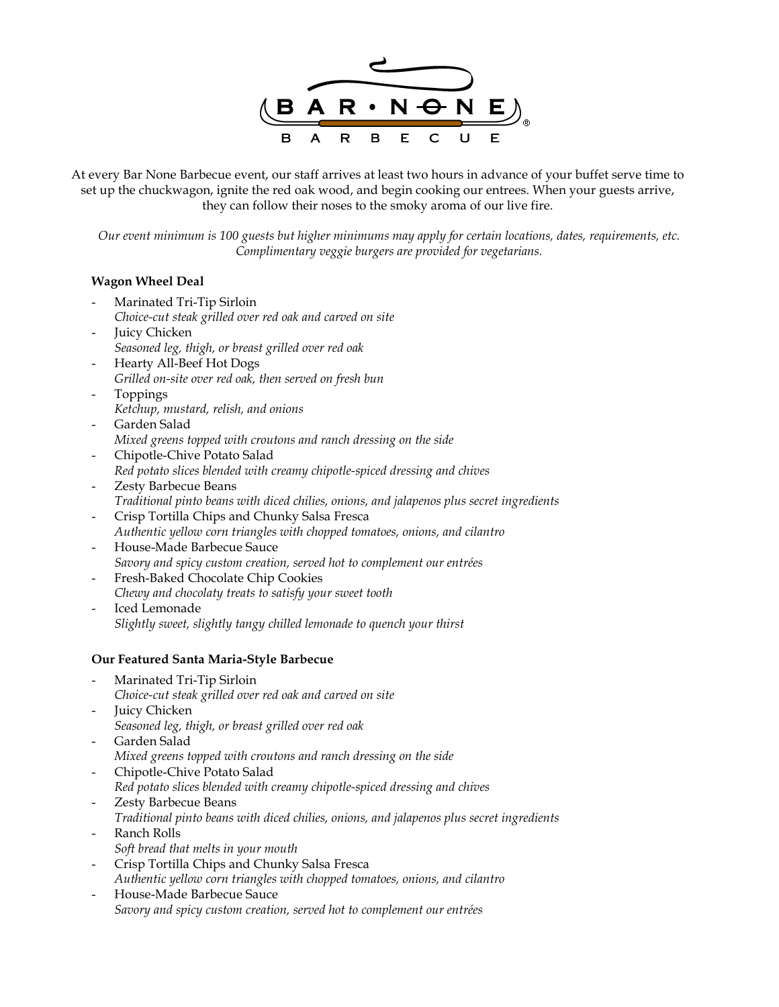

At every Bar None Barbecue event, our staff arrives at least two hours in advance of your buffet serve time to set up the chuckwagon, ignite the red oak wood, and begin cooking our entrees. When your guests arrive, they can follow their noses to the smoky aroma of our live fire.

*Our event minimum is 100 guests but higher minimums may apply for certain locations, dates, requirements, etc. Complimentary veggie burgers are provided for vegetarians.* 

#### **Wagon Wheel Deal**

- Marinated Tri-Tip Sirloin *Choice-cut steak grilled over red oak and carved on site*
- **Juicy Chicken** *Seasoned leg, thigh, or breast grilled over red oak*
- Hearty All-Beef Hot Dogs *Grilled on-site over red oak, then served on fresh bun*
- Toppings *Ketchup, mustard, relish, and onions*
- Garden Salad *Mixed greens topped with croutons and ranch dressing on the side*
- Chipotle-Chive Potato Salad *Red potato slices blended with creamy chipotle-spiced dressing and chives*
- Zesty Barbecue Beans *Traditional pinto beans with diced chilies, onions, and jalapenos plus secret ingredients*
- Crisp Tortilla Chips and Chunky Salsa Fresca *Authentic yellow corn triangles with chopped tomatoes, onions, and cilantro*
- House-Made Barbecue Sauce *Savory and spicy custom creation, served hot to complement our entrées*
- Fresh-Baked Chocolate Chip Cookies *Chewy and chocolaty treats to satisfy your sweet tooth*
- Iced Lemonade *Slightly sweet, slightly tangy chilled lemonade to quench your thirst*

## **Our Featured Santa Maria-Style Barbecue**

- Marinated Tri-Tip Sirloin *Choice-cut steak grilled over red oak and carved on site*
- Juicy Chicken *Seasoned leg, thigh, or breast grilled over red oak*
- Garden Salad
- *Mixed greens topped with croutons and ranch dressing on the side*
- Chipotle-Chive Potato Salad *Red potato slices blended with creamy chipotle-spiced dressing and chives*
- Zesty Barbecue Beans
- *Traditional pinto beans with diced chilies, onions, and jalapenos plus secret ingredients*
- Ranch Rolls *Soft bread that melts in your mouth*
- Crisp Tortilla Chips and Chunky Salsa Fresca *Authentic yellow corn triangles with chopped tomatoes, onions, and cilantro*
- House-Made Barbecue Sauce *Savory and spicy custom creation, served hot to complement our entrées*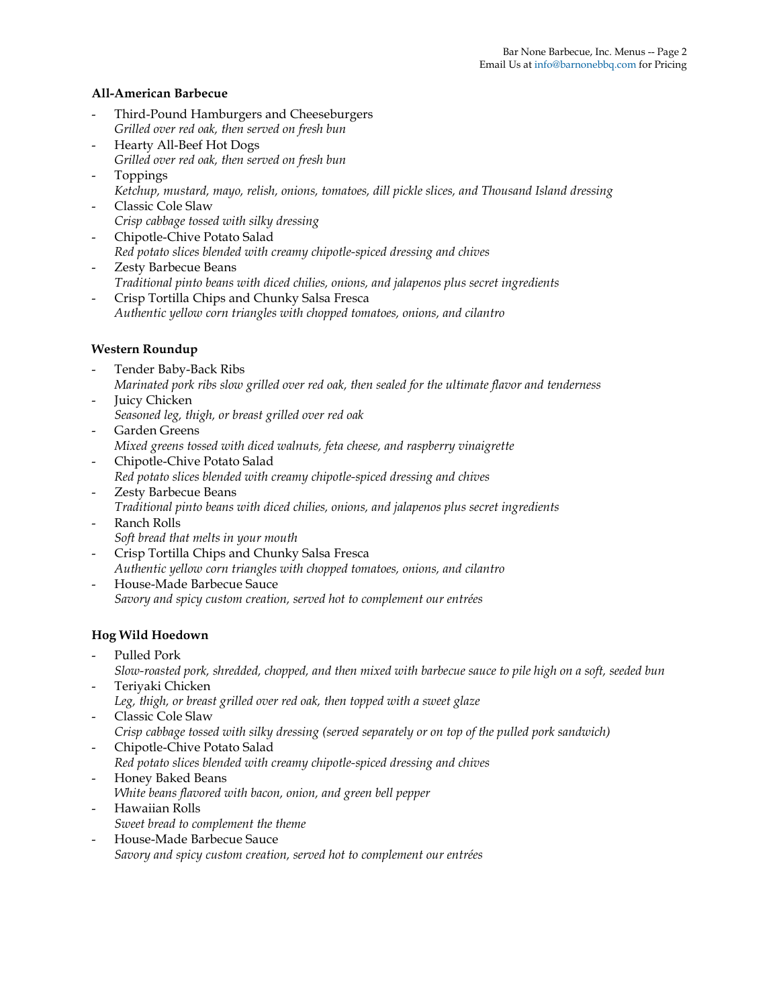#### **All-American Barbecue**

- Third-Pound Hamburgers and Cheeseburgers *Grilled over red oak, then served on fresh bun*
- Hearty All-Beef Hot Dogs *Grilled over red oak, then served on fresh bun*
- Toppings
	- *Ketchup, mustard, mayo, relish, onions, tomatoes, dill pickle slices, and Thousand Island dressing*
- Classic Cole Slaw *Crisp cabbage tossed with silky dressing*
- Chipotle-Chive Potato Salad
- *Red potato slices blended with creamy chipotle-spiced dressing and chives*
- Zesty Barbecue Beans *Traditional pinto beans with diced chilies, onions, and jalapenos plus secret ingredients*
- Crisp Tortilla Chips and Chunky Salsa Fresca *Authentic yellow corn triangles with chopped tomatoes, onions, and cilantro*

#### **Western Roundup**

- Tender Baby-Back Ribs *Marinated pork ribs slow grilled over red oak, then sealed for the ultimate flavor and tenderness*
- Juicy Chicken *Seasoned leg, thigh, or breast grilled over red oak*
- Garden Greens *Mixed greens tossed with diced walnuts, feta cheese, and raspberry vinaigrette*
- Chipotle-Chive Potato Salad *Red potato slices blended with creamy chipotle-spiced dressing and chives*
- Zesty Barbecue Beans *Traditional pinto beans with diced chilies, onions, and jalapenos plus secret ingredients*
- Ranch Rolls *Soft bread that melts in your mouth*
- Crisp Tortilla Chips and Chunky Salsa Fresca *Authentic yellow corn triangles with chopped tomatoes, onions, and cilantro*
- House-Made Barbecue Sauce *Savory and spicy custom creation, served hot to complement our entrées*

## **Hog Wild Hoedown**

Pulled Pork

*Slow-roasted pork, shredded, chopped, and then mixed with barbecue sauce to pile high on a soft, seeded bun*  Teriyaki Chicken

- *Leg, thigh, or breast grilled over red oak, then topped with a sweet glaze*
- Classic Cole Slaw *Crisp cabbage tossed with silky dressing (served separately or on top of the pulled pork sandwich)*
- Chipotle-Chive Potato Salad *Red potato slices blended with creamy chipotle-spiced dressing and chives*
- Honey Baked Beans *White beans flavored with bacon, onion, and green bell pepper*
- Hawaiian Rolls *Sweet bread to complement the theme*
- House-Made Barbecue Sauce *Savory and spicy custom creation, served hot to complement our entrées*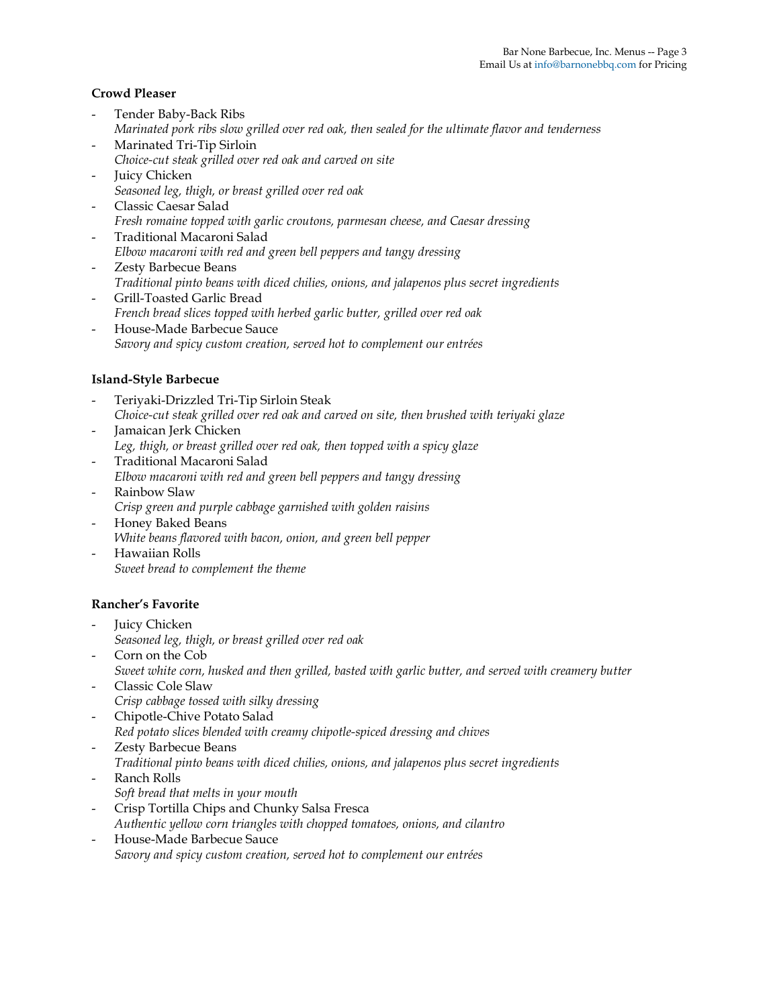#### **Crowd Pleaser**

- Tender Baby-Back Ribs *Marinated pork ribs slow grilled over red oak, then sealed for the ultimate flavor and tenderness*
- Marinated Tri-Tip Sirloin *Choice-cut steak grilled over red oak and carved on site*
- Juicy Chicken *Seasoned leg, thigh, or breast grilled over red oak*
- Classic Caesar Salad *Fresh romaine topped with garlic croutons, parmesan cheese, and Caesar dressing*
- Traditional Macaroni Salad *Elbow macaroni with red and green bell peppers and tangy dressing*
- Zesty Barbecue Beans *Traditional pinto beans with diced chilies, onions, and jalapenos plus secret ingredients*
- Grill-Toasted Garlic Bread *French bread slices topped with herbed garlic butter, grilled over red oak*
- House-Made Barbecue Sauce *Savory and spicy custom creation, served hot to complement our entrées*

## **Island-Style Barbecue**

- Teriyaki-Drizzled Tri-Tip Sirloin Steak *Choice-cut steak grilled over red oak and carved on site, then brushed with teriyaki glaze*
- Jamaican Jerk Chicken *Leg, thigh, or breast grilled over red oak, then topped with a spicy glaze*
- Traditional Macaroni Salad *Elbow macaroni with red and green bell peppers and tangy dressing*
- Rainbow Slaw *Crisp green and purple cabbage garnished with golden raisins*
- Honey Baked Beans *White beans flavored with bacon, onion, and green bell pepper*
- Hawaiian Rolls *Sweet bread to complement the theme*

## **Rancher's Favorite**

- Juicy Chicken *Seasoned leg, thigh, or breast grilled over red oak*
- Corn on the Cob *Sweet white corn, husked and then grilled, basted with garlic butter, and served with creamery butter*
- Classic Cole Slaw *Crisp cabbage tossed with silky dressing*
- Chipotle-Chive Potato Salad *Red potato slices blended with creamy chipotle-spiced dressing and chives*
- Zesty Barbecue Beans *Traditional pinto beans with diced chilies, onions, and jalapenos plus secret ingredients*
- Ranch Rolls *Soft bread that melts in your mouth*
- Crisp Tortilla Chips and Chunky Salsa Fresca *Authentic yellow corn triangles with chopped tomatoes, onions, and cilantro*
- House-Made Barbecue Sauce *Savory and spicy custom creation, served hot to complement our entrées*